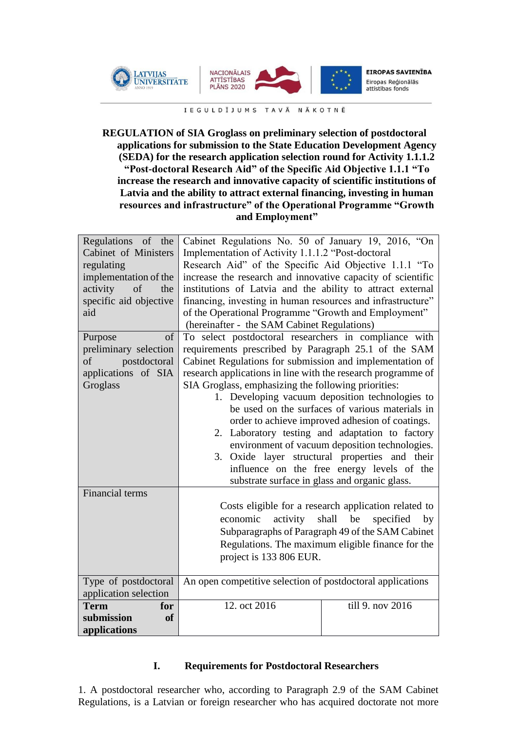



**EIROPAS SAVIENĪBA** Eiropas Reģionālās<br>attīstības fonds

IEGULDĪJUMS TAVĀ NĀKOTNĒ

## **REGULATION of SIA Groglass on preliminary selection of postdoctoral applications for submission to the State Education Development Agency (SEDA) for the research application selection round for Activity 1.1.1.2 "Post-doctoral Research Aid" of the Specific Aid Objective 1.1.1 "To increase the research and innovative capacity of scientific institutions of Latvia and the ability to attract external financing, investing in human resources and infrastructure" of the Operational Programme "Growth and Employment"**

| Regulations of the<br>Cabinet of Ministers<br>regulating<br>implementation of the<br>activity<br>of<br>the<br>specific aid objective<br>aid | Cabinet Regulations No. 50 of January 19, 2016, "On<br>Implementation of Activity 1.1.1.2 "Post-doctoral<br>Research Aid" of the Specific Aid Objective 1.1.1 "To<br>increase the research and innovative capacity of scientific<br>institutions of Latvia and the ability to attract external<br>financing, investing in human resources and infrastructure"<br>of the Operational Programme "Growth and Employment"<br>(hereinafter - the SAM Cabinet Regulations)                                                                                                                                                                                                                                            |                  |
|---------------------------------------------------------------------------------------------------------------------------------------------|-----------------------------------------------------------------------------------------------------------------------------------------------------------------------------------------------------------------------------------------------------------------------------------------------------------------------------------------------------------------------------------------------------------------------------------------------------------------------------------------------------------------------------------------------------------------------------------------------------------------------------------------------------------------------------------------------------------------|------------------|
| of<br>Purpose<br>preliminary selection<br>postdoctoral<br>of<br>applications of SIA<br>Groglass                                             | To select postdoctoral researchers in compliance with<br>requirements prescribed by Paragraph 25.1 of the SAM<br>Cabinet Regulations for submission and implementation of<br>research applications in line with the research programme of<br>SIA Groglass, emphasizing the following priorities:<br>1. Developing vacuum deposition technologies to<br>be used on the surfaces of various materials in<br>order to achieve improved adhesion of coatings.<br>2. Laboratory testing and adaptation to factory<br>environment of vacuum deposition technologies.<br>3. Oxide layer structural properties and their<br>influence on the free energy levels of the<br>substrate surface in glass and organic glass. |                  |
| Financial terms                                                                                                                             | Costs eligible for a research application related to<br>activity<br>shall be<br>economic<br>specified<br>$-$ by<br>Subparagraphs of Paragraph 49 of the SAM Cabinet<br>Regulations. The maximum eligible finance for the<br>project is 133 806 EUR.                                                                                                                                                                                                                                                                                                                                                                                                                                                             |                  |
| Type of postdoctoral<br>application selection                                                                                               | An open competitive selection of postdoctoral applications                                                                                                                                                                                                                                                                                                                                                                                                                                                                                                                                                                                                                                                      |                  |
| <b>Term</b><br>for<br>submission<br><b>of</b><br>applications                                                                               | 12. oct 2016                                                                                                                                                                                                                                                                                                                                                                                                                                                                                                                                                                                                                                                                                                    | till 9. nov 2016 |

### **I. Requirements for Postdoctoral Researchers**

1. A postdoctoral researcher who, according to Paragraph 2.9 of the SAM Cabinet Regulations, is a Latvian or foreign researcher who has acquired doctorate not more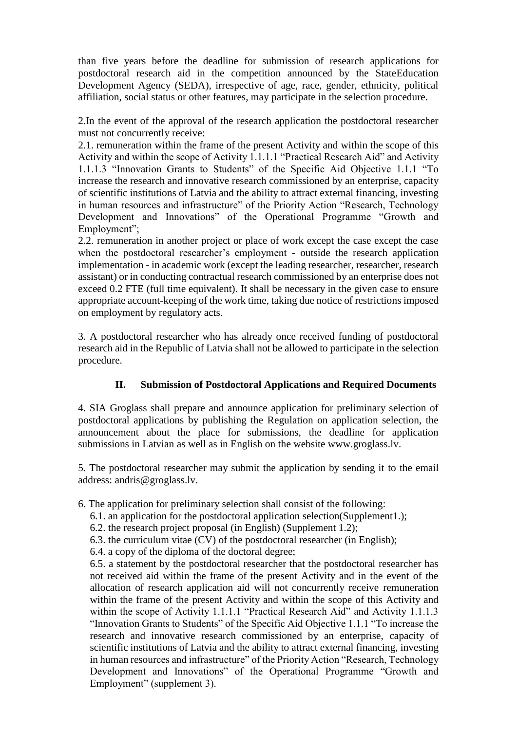than five years before the deadline for submission of research applications for postdoctoral research aid in the competition announced by the StateEducation Development Agency (SEDA), irrespective of age, race, gender, ethnicity, political affiliation, social status or other features, may participate in the selection procedure.

2.In the event of the approval of the research application the postdoctoral researcher must not concurrently receive:

2.1. remuneration within the frame of the present Activity and within the scope of this Activity and within the scope of Activity 1.1.1.1 "Practical Research Aid" and Activity 1.1.1.3 "Innovation Grants to Students" of the Specific Aid Objective 1.1.1 "To increase the research and innovative research commissioned by an enterprise, capacity of scientific institutions of Latvia and the ability to attract external financing, investing in human resources and infrastructure" of the Priority Action "Research, Technology Development and Innovations" of the Operational Programme "Growth and Employment";

2.2. remuneration in another project or place of work except the case except the case when the postdoctoral researcher's employment - outside the research application implementation - in academic work (except the leading researcher, researcher, research assistant) or in conducting contractual research commissioned by an enterprise does not exceed 0.2 FTE (full time equivalent). It shall be necessary in the given case to ensure appropriate account-keeping of the work time, taking due notice of restrictions imposed on employment by regulatory acts.

3. A postdoctoral researcher who has already once received funding of postdoctoral research aid in the Republic of Latvia shall not be allowed to participate in the selection procedure.

### **II. Submission of Postdoctoral Applications and Required Documents**

4. SIA Groglass shall prepare and announce application for preliminary selection of postdoctoral applications by publishing the Regulation on application selection, the announcement about the place for submissions, the deadline for application submissions in Latvian as well as in English on the website www.groglass.lv.

5. The postdoctoral researcher may submit the application by sending it to the email address: andris@groglass.lv.

- 6. The application for preliminary selection shall consist of the following:
	- 6.1. an application for the postdoctoral application selection(Supplement1.);
	- 6.2. the research project proposal (in English) (Supplement 1.2);
	- 6.3. the curriculum vitae (CV) of the postdoctoral researcher (in English);
	- 6.4. a copy of the diploma of the doctoral degree;

6.5. a statement by the postdoctoral researcher that the postdoctoral researcher has not received aid within the frame of the present Activity and in the event of the allocation of research application aid will not concurrently receive remuneration within the frame of the present Activity and within the scope of this Activity and within the scope of Activity 1.1.1.1 "Practical Research Aid" and Activity 1.1.1.3 "Innovation Grants to Students" of the Specific Aid Objective 1.1.1 "To increase the research and innovative research commissioned by an enterprise, capacity of scientific institutions of Latvia and the ability to attract external financing, investing in human resources and infrastructure" of the Priority Action "Research, Technology Development and Innovations" of the Operational Programme "Growth and Employment" (supplement 3).